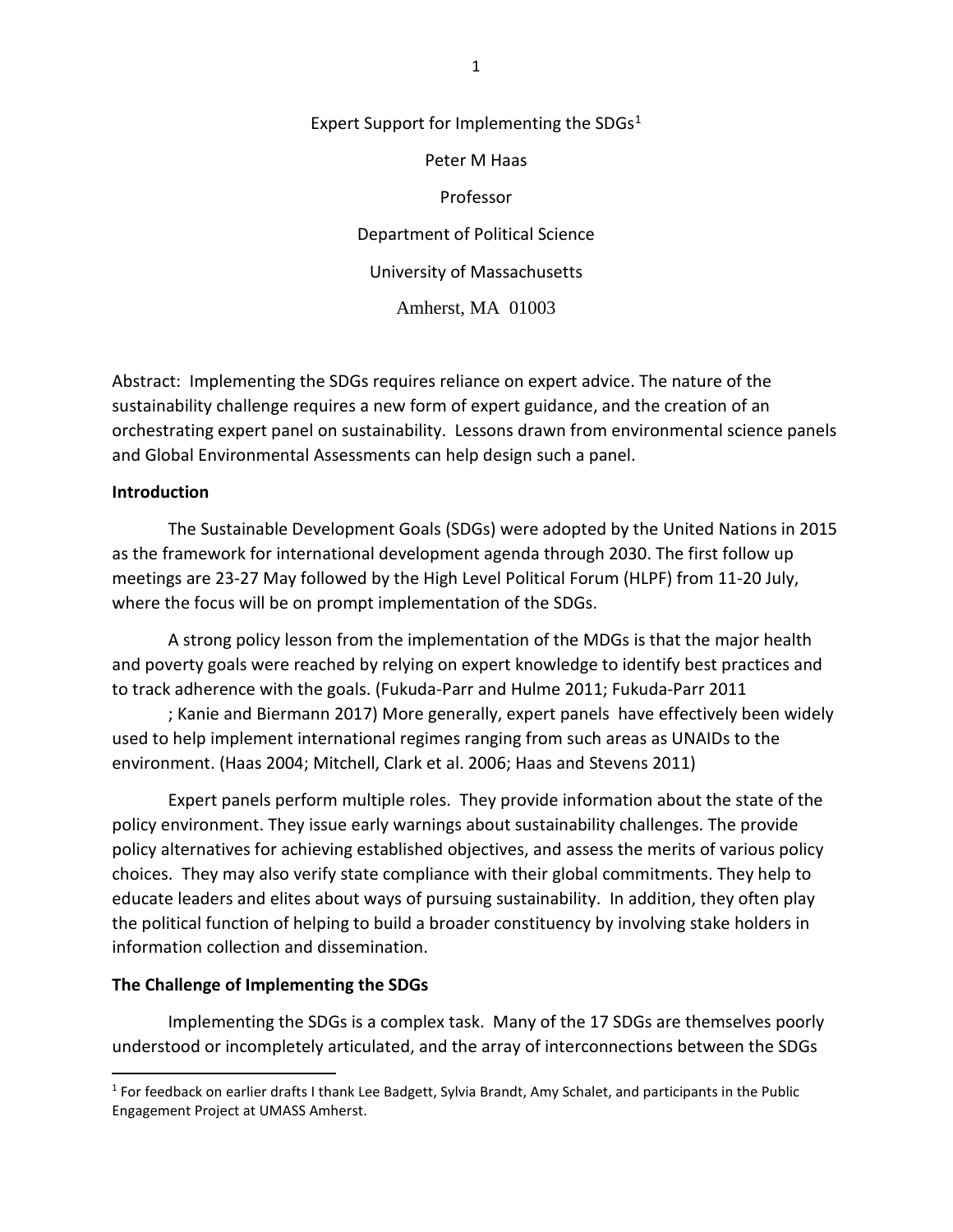Expert Support for Implementing the SDGs $1$ Peter M Haas Professor Department of Political Science University of Massachusetts Amherst, MA 01003

Abstract: Implementing the SDGs requires reliance on expert advice. The nature of the sustainability challenge requires a new form of expert guidance, and the creation of an orchestrating expert panel on sustainability. Lessons drawn from environmental science panels and Global Environmental Assessments can help design such a panel.

## **Introduction**

The Sustainable Development Goals (SDGs) were adopted by the United Nations in 2015 as the framework for international development agenda through 2030. The first follow up meetings are 23-27 May followed by the High Level Political Forum (HLPF) from 11-20 July, where the focus will be on prompt implementation of the SDGs.

A strong policy lesson from the implementation of the MDGs is that the major health and poverty goals were reached by relying on expert knowledge to identify best practices and to track adherence with the goals. (Fukuda-Parr and Hulme 2011; Fukuda-Parr 2011

; Kanie and Biermann 2017) More generally, expert panels have effectively been widely used to help implement international regimes ranging from such areas as UNAIDs to the environment. (Haas 2004; Mitchell, Clark et al. 2006; Haas and Stevens 2011)

Expert panels perform multiple roles. They provide information about the state of the policy environment. They issue early warnings about sustainability challenges. The provide policy alternatives for achieving established objectives, and assess the merits of various policy choices. They may also verify state compliance with their global commitments. They help to educate leaders and elites about ways of pursuing sustainability. In addition, they often play the political function of helping to build a broader constituency by involving stake holders in information collection and dissemination.

## **The Challenge of Implementing the SDGs**

Implementing the SDGs is a complex task. Many of the 17 SDGs are themselves poorly understood or incompletely articulated, and the array of interconnections between the SDGs

<span id="page-0-0"></span><sup>&</sup>lt;sup>1</sup> For feedback on earlier drafts I thank Lee Badgett, Sylvia Brandt, Amy Schalet, and participants in the Public Engagement Project at UMASS Amherst.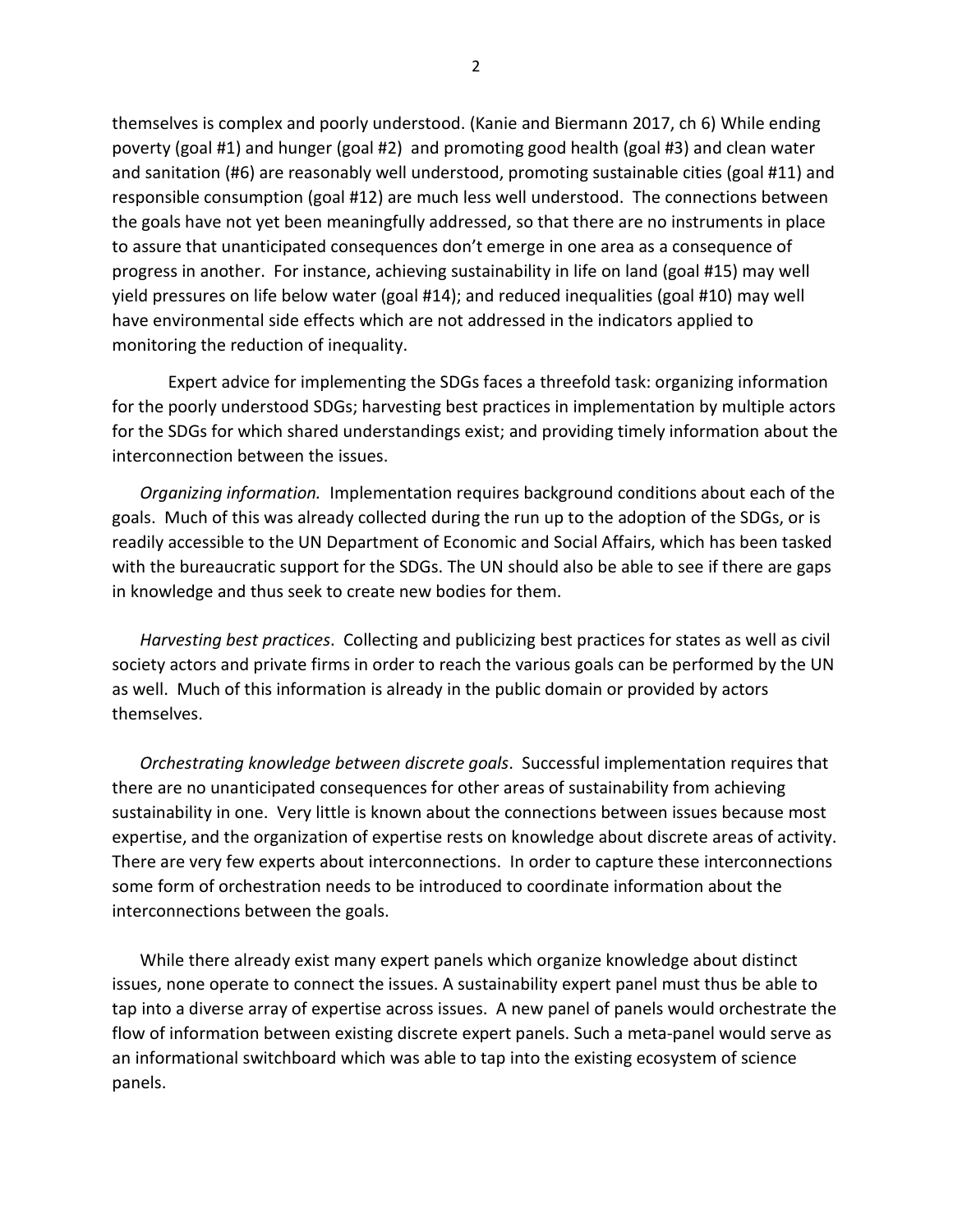themselves is complex and poorly understood. (Kanie and Biermann 2017, ch 6) While ending poverty (goal #1) and hunger (goal #2) and promoting good health (goal #3) and clean water and sanitation (#6) are reasonably well understood, promoting sustainable cities (goal #11) and responsible consumption (goal #12) are much less well understood. The connections between the goals have not yet been meaningfully addressed, so that there are no instruments in place to assure that unanticipated consequences don't emerge in one area as a consequence of progress in another. For instance, achieving sustainability in life on land (goal #15) may well yield pressures on life below water (goal #14); and reduced inequalities (goal #10) may well have environmental side effects which are not addressed in the indicators applied to monitoring the reduction of inequality.

Expert advice for implementing the SDGs faces a threefold task: organizing information for the poorly understood SDGs; harvesting best practices in implementation by multiple actors for the SDGs for which shared understandings exist; and providing timely information about the interconnection between the issues.

*Organizing information.* Implementation requires background conditions about each of the goals. Much of this was already collected during the run up to the adoption of the SDGs, or is readily accessible to the UN Department of Economic and Social Affairs, which has been tasked with the bureaucratic support for the SDGs. The UN should also be able to see if there are gaps in knowledge and thus seek to create new bodies for them.

*Harvesting best practices*. Collecting and publicizing best practices for states as well as civil society actors and private firms in order to reach the various goals can be performed by the UN as well. Much of this information is already in the public domain or provided by actors themselves.

*Orchestrating knowledge between discrete goals*. Successful implementation requires that there are no unanticipated consequences for other areas of sustainability from achieving sustainability in one. Very little is known about the connections between issues because most expertise, and the organization of expertise rests on knowledge about discrete areas of activity. There are very few experts about interconnections. In order to capture these interconnections some form of orchestration needs to be introduced to coordinate information about the interconnections between the goals.

While there already exist many expert panels which organize knowledge about distinct issues, none operate to connect the issues. A sustainability expert panel must thus be able to tap into a diverse array of expertise across issues. A new panel of panels would orchestrate the flow of information between existing discrete expert panels. Such a meta-panel would serve as an informational switchboard which was able to tap into the existing ecosystem of science panels.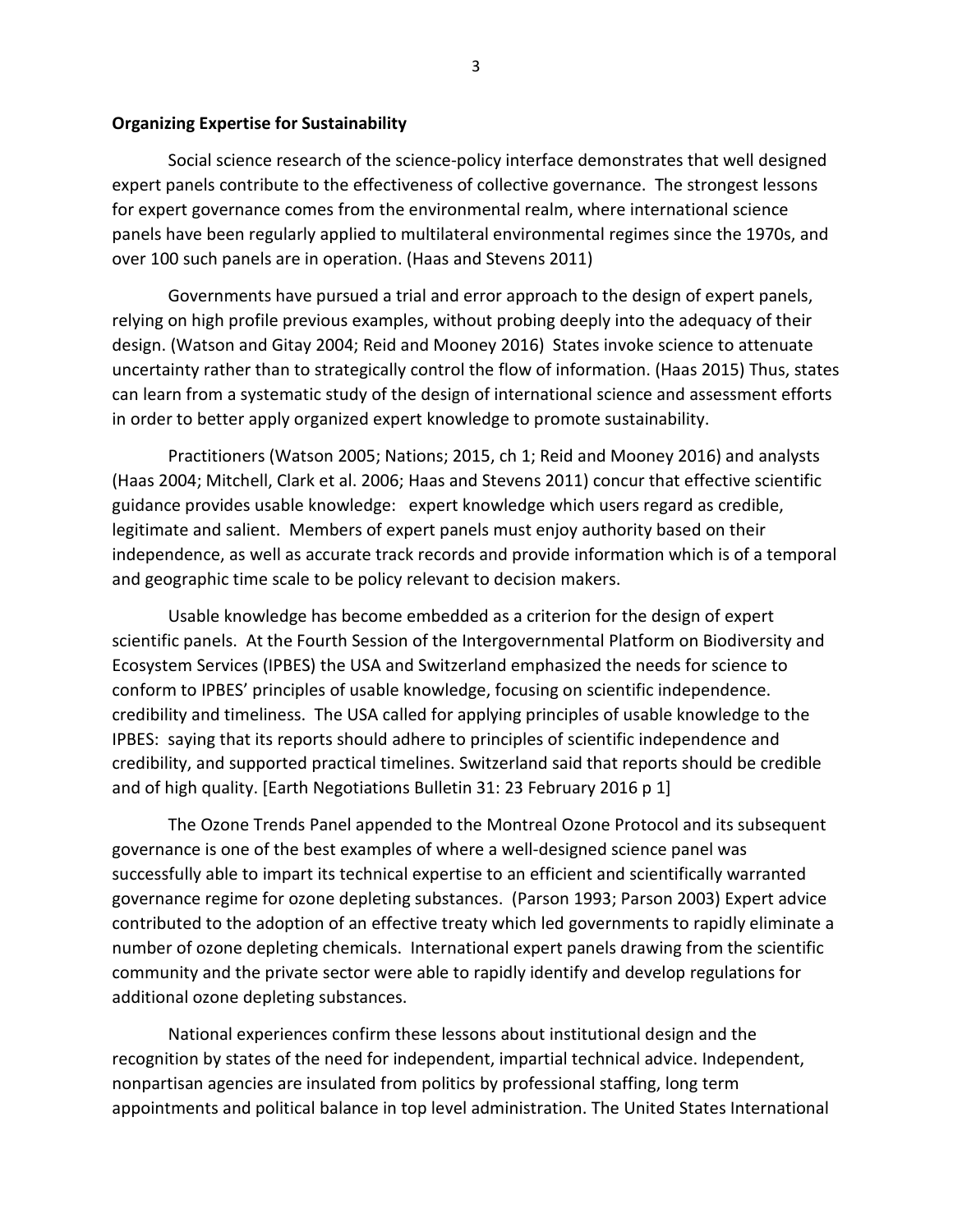## **Organizing Expertise for Sustainability**

Social science research of the science-policy interface demonstrates that well designed expert panels contribute to the effectiveness of collective governance. The strongest lessons for expert governance comes from the environmental realm, where international science panels have been regularly applied to multilateral environmental regimes since the 1970s, and over 100 such panels are in operation. (Haas and Stevens 2011)

Governments have pursued a trial and error approach to the design of expert panels, relying on high profile previous examples, without probing deeply into the adequacy of their design. (Watson and Gitay 2004; Reid and Mooney 2016) States invoke science to attenuate uncertainty rather than to strategically control the flow of information. (Haas 2015) Thus, states can learn from a systematic study of the design of international science and assessment efforts in order to better apply organized expert knowledge to promote sustainability.

Practitioners (Watson 2005; Nations; 2015, ch 1; Reid and Mooney 2016) and analysts (Haas 2004; Mitchell, Clark et al. 2006; Haas and Stevens 2011) concur that effective scientific guidance provides usable knowledge: expert knowledge which users regard as credible, legitimate and salient. Members of expert panels must enjoy authority based on their independence, as well as accurate track records and provide information which is of a temporal and geographic time scale to be policy relevant to decision makers.

Usable knowledge has become embedded as a criterion for the design of expert scientific panels. At the Fourth Session of the Intergovernmental Platform on Biodiversity and Ecosystem Services (IPBES) the USA and Switzerland emphasized the needs for science to conform to IPBES' principles of usable knowledge, focusing on scientific independence. credibility and timeliness. The USA called for applying principles of usable knowledge to the IPBES: saying that its reports should adhere to principles of scientific independence and credibility, and supported practical timelines. Switzerland said that reports should be credible and of high quality. [Earth Negotiations Bulletin 31: 23 February 2016 p 1]

The Ozone Trends Panel appended to the Montreal Ozone Protocol and its subsequent governance is one of the best examples of where a well-designed science panel was successfully able to impart its technical expertise to an efficient and scientifically warranted governance regime for ozone depleting substances. (Parson 1993; Parson 2003) Expert advice contributed to the adoption of an effective treaty which led governments to rapidly eliminate a number of ozone depleting chemicals. International expert panels drawing from the scientific community and the private sector were able to rapidly identify and develop regulations for additional ozone depleting substances.

National experiences confirm these lessons about institutional design and the recognition by states of the need for independent, impartial technical advice. Independent, nonpartisan agencies are insulated from politics by professional staffing, long term appointments and political balance in top level administration. The United States International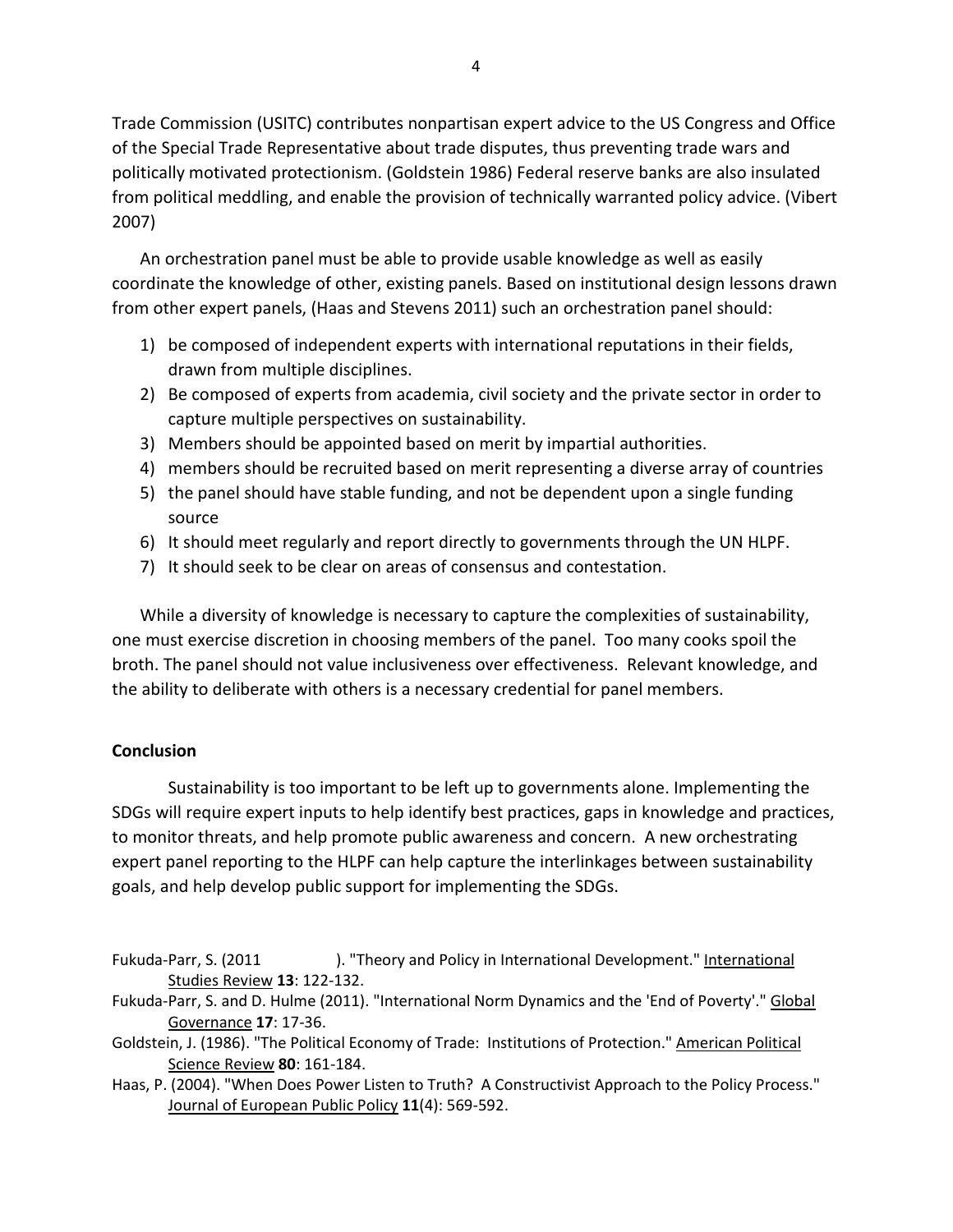Trade Commission (USITC) contributes nonpartisan expert advice to the US Congress and Office of the Special Trade Representative about trade disputes, thus preventing trade wars and politically motivated protectionism. (Goldstein 1986) Federal reserve banks are also insulated from political meddling, and enable the provision of technically warranted policy advice. (Vibert 2007)

An orchestration panel must be able to provide usable knowledge as well as easily coordinate the knowledge of other, existing panels. Based on institutional design lessons drawn from other expert panels, (Haas and Stevens 2011) such an orchestration panel should:

- 1) be composed of independent experts with international reputations in their fields, drawn from multiple disciplines.
- 2) Be composed of experts from academia, civil society and the private sector in order to capture multiple perspectives on sustainability.
- 3) Members should be appointed based on merit by impartial authorities.
- 4) members should be recruited based on merit representing a diverse array of countries
- 5) the panel should have stable funding, and not be dependent upon a single funding source
- 6) It should meet regularly and report directly to governments through the UN HLPF.
- 7) It should seek to be clear on areas of consensus and contestation.

While a diversity of knowledge is necessary to capture the complexities of sustainability, one must exercise discretion in choosing members of the panel. Too many cooks spoil the broth. The panel should not value inclusiveness over effectiveness. Relevant knowledge, and the ability to deliberate with others is a necessary credential for panel members.

## **Conclusion**

Sustainability is too important to be left up to governments alone. Implementing the SDGs will require expert inputs to help identify best practices, gaps in knowledge and practices, to monitor threats, and help promote public awareness and concern. A new orchestrating expert panel reporting to the HLPF can help capture the interlinkages between sustainability goals, and help develop public support for implementing the SDGs.

- Fukuda-Parr, S. (2011 ). "Theory and Policy in International Development." International Studies Review **13**: 122-132.
- Fukuda-Parr, S. and D. Hulme (2011). "International Norm Dynamics and the 'End of Poverty'." Global Governance **17**: 17-36.
- Goldstein, J. (1986). "The Political Economy of Trade: Institutions of Protection." American Political Science Review **80**: 161-184.
- Haas, P. (2004). "When Does Power Listen to Truth? A Constructivist Approach to the Policy Process." Journal of European Public Policy **11**(4): 569-592.